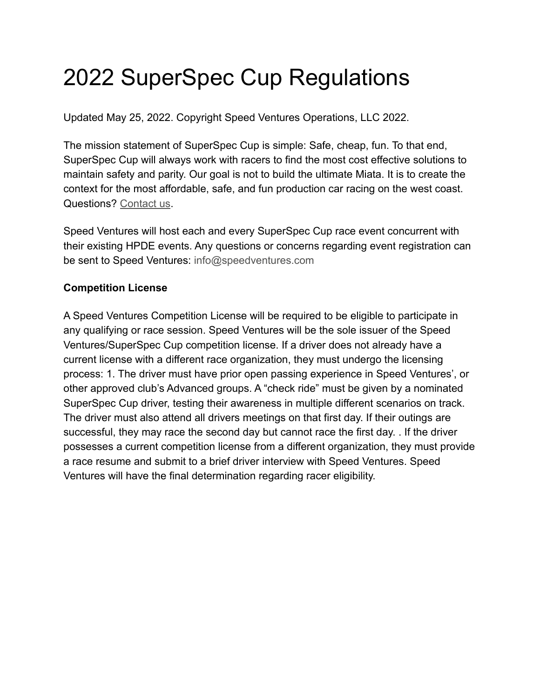# 2022 SuperSpec Cup Regulations

Updated May 25, 2022. Copyright Speed Ventures Operations, LLC 2022.

The mission statement of SuperSpec Cup is simple: Safe, cheap, fun. To that end, SuperSpec Cup will always work with racers to find the most cost effective solutions to maintain safety and parity. Our goal is not to build the ultimate Miata. It is to create the context for the most affordable, safe, and fun production car racing on the west coast. Questions? [Contact us](http://weebly-link/153165961828780913).

Speed Ventures will host each and every SuperSpec Cup race event concurrent with their existing HPDE events. Any questions or concerns regarding event registration can be sent to Speed Ventures: info@speedventures.com

# **Competition License**

A Speed Ventures Competition License will be required to be eligible to participate in any qualifying or race session. Speed Ventures will be the sole issuer of the Speed Ventures/SuperSpec Cup competition license. If a driver does not already have a current license with a different race organization, they must undergo the licensing process: 1. The driver must have prior open passing experience in Speed Ventures', or other approved club's Advanced groups. A "check ride" must be given by a nominated SuperSpec Cup driver, testing their awareness in multiple different scenarios on track. The driver must also attend all drivers meetings on that first day. If their outings are successful, they may race the second day but cannot race the first day. . If the driver possesses a current competition license from a different organization, they must provide a race resume and submit to a brief driver interview with Speed Ventures. Speed Ventures will have the final determination regarding racer eligibility.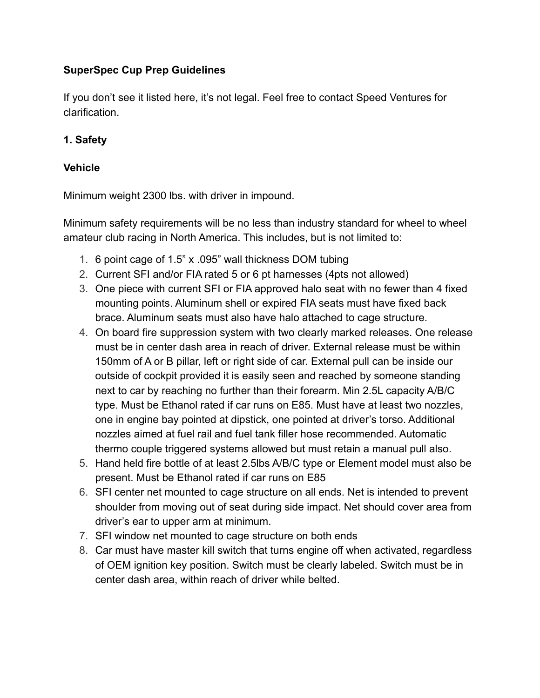# **SuperSpec Cup Prep Guidelines**

If you don't see it listed here, it's not legal. Feel free to contact Speed Ventures for clarification.

# **1. Safety**

## **Vehicle**

Minimum weight 2300 lbs. with driver in impound.

Minimum safety requirements will be no less than industry standard for wheel to wheel amateur club racing in North America. This includes, but is not limited to:

- 1. 6 point cage of 1.5" x .095" wall thickness DOM tubing
- 2. Current SFI and/or FIA rated 5 or 6 pt harnesses (4pts not allowed)
- 3. One piece with current SFI or FIA approved halo seat with no fewer than 4 fixed mounting points. Aluminum shell or expired FIA seats must have fixed back brace. Aluminum seats must also have halo attached to cage structure.
- 4. On board fire suppression system with two clearly marked releases. One release must be in center dash area in reach of driver. External release must be within 150mm of A or B pillar, left or right side of car. External pull can be inside our outside of cockpit provided it is easily seen and reached by someone standing next to car by reaching no further than their forearm. Min 2.5L capacity A/B/C type. Must be Ethanol rated if car runs on E85. Must have at least two nozzles, one in engine bay pointed at dipstick, one pointed at driver's torso. Additional nozzles aimed at fuel rail and fuel tank filler hose recommended. Automatic thermo couple triggered systems allowed but must retain a manual pull also.
- 5. Hand held fire bottle of at least 2.5lbs A/B/C type or Element model must also be present. Must be Ethanol rated if car runs on E85
- 6. SFI center net mounted to cage structure on all ends. Net is intended to prevent shoulder from moving out of seat during side impact. Net should cover area from driver's ear to upper arm at minimum.
- 7. SFI window net mounted to cage structure on both ends
- 8. Car must have master kill switch that turns engine off when activated, regardless of OEM ignition key position. Switch must be clearly labeled. Switch must be in center dash area, within reach of driver while belted.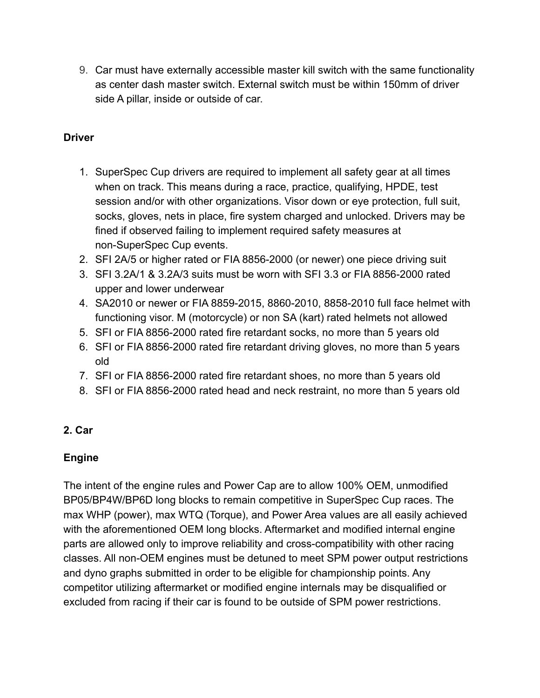9. Car must have externally accessible master kill switch with the same functionality as center dash master switch. External switch must be within 150mm of driver side A pillar, inside or outside of car.

# **Driver**

- 1. SuperSpec Cup drivers are required to implement all safety gear at all times when on track. This means during a race, practice, qualifying, HPDE, test session and/or with other organizations. Visor down or eye protection, full suit, socks, gloves, nets in place, fire system charged and unlocked. Drivers may be fined if observed failing to implement required safety measures at non-SuperSpec Cup events.
- 2. SFI 2A/5 or higher rated or FIA 8856-2000 (or newer) one piece driving suit
- 3. SFI 3.2A/1 & 3.2A/3 suits must be worn with SFI 3.3 or FIA 8856-2000 rated upper and lower underwear
- 4. SA2010 or newer or FIA 8859-2015, 8860-2010, 8858-2010 full face helmet with functioning visor. M (motorcycle) or non SA (kart) rated helmets not allowed
- 5. SFI or FIA 8856-2000 rated fire retardant socks, no more than 5 years old
- 6. SFI or FIA 8856-2000 rated fire retardant driving gloves, no more than 5 years old
- 7. SFI or FIA 8856-2000 rated fire retardant shoes, no more than 5 years old
- 8. SFI or FIA 8856-2000 rated head and neck restraint, no more than 5 years old

# **2. Car**

# **Engine**

The intent of the engine rules and Power Cap are to allow 100% OEM, unmodified BP05/BP4W/BP6D long blocks to remain competitive in SuperSpec Cup races. The max WHP (power), max WTQ (Torque), and Power Area values are all easily achieved with the aforementioned OEM long blocks. Aftermarket and modified internal engine parts are allowed only to improve reliability and cross-compatibility with other racing classes. All non-OEM engines must be detuned to meet SPM power output restrictions and dyno graphs submitted in order to be eligible for championship points. Any competitor utilizing aftermarket or modified engine internals may be disqualified or excluded from racing if their car is found to be outside of SPM power restrictions.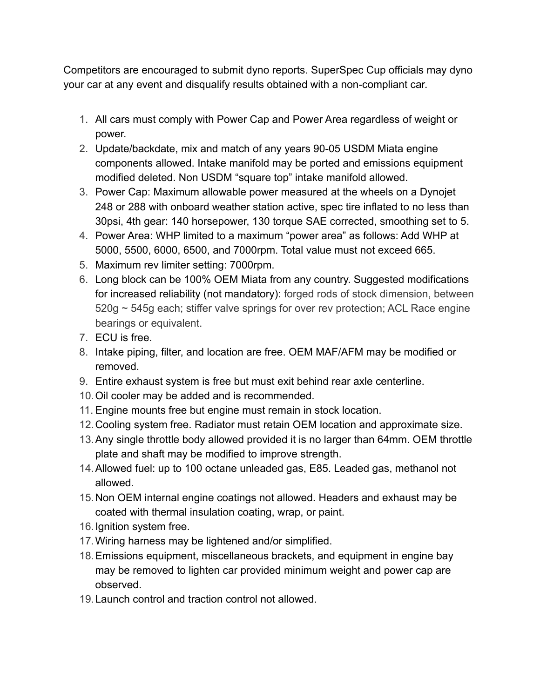Competitors are encouraged to submit dyno reports. SuperSpec Cup officials may dyno your car at any event and disqualify results obtained with a non-compliant car.

- 1. All cars must comply with Power Cap and Power Area regardless of weight or power.
- 2. Update/backdate, mix and match of any years 90-05 USDM Miata engine components allowed. Intake manifold may be ported and emissions equipment modified deleted. Non USDM "square top" intake manifold allowed.
- 3. Power Cap: Maximum allowable power measured at the wheels on a Dynojet 248 or 288 with onboard weather station active, spec tire inflated to no less than 30psi, 4th gear: 140 horsepower, 130 torque SAE corrected, smoothing set to 5.
- 4. Power Area: WHP limited to a maximum "power area" as follows: Add WHP at 5000, 5500, 6000, 6500, and 7000rpm. Total value must not exceed 665.
- 5. Maximum rev limiter setting: 7000rpm.
- 6. Long block can be 100% OEM Miata from any country. Suggested modifications for increased reliability (not mandatory): forged rods of stock dimension, between 520g ~ 545g each; stiffer valve springs for over rev protection; ACL Race engine bearings or equivalent.
- 7. ECU is free.
- 8. Intake piping, filter, and location are free. OEM MAF/AFM may be modified or removed.
- 9. Entire exhaust system is free but must exit behind rear axle centerline.
- 10.Oil cooler may be added and is recommended.
- 11. Engine mounts free but engine must remain in stock location.
- 12.Cooling system free. Radiator must retain OEM location and approximate size.
- 13.Any single throttle body allowed provided it is no larger than 64mm. OEM throttle plate and shaft may be modified to improve strength.
- 14.Allowed fuel: up to 100 octane unleaded gas, E85. Leaded gas, methanol not allowed.
- 15.Non OEM internal engine coatings not allowed. Headers and exhaust may be coated with thermal insulation coating, wrap, or paint.
- 16.Ignition system free.
- 17.Wiring harness may be lightened and/or simplified.
- 18.Emissions equipment, miscellaneous brackets, and equipment in engine bay may be removed to lighten car provided minimum weight and power cap are observed.
- 19.Launch control and traction control not allowed.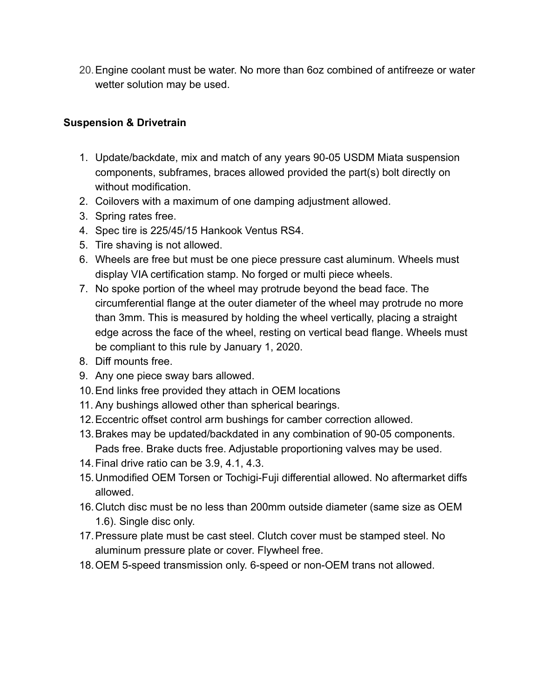20.Engine coolant must be water. No more than 6oz combined of antifreeze or water wetter solution may be used.

# **Suspension & Drivetrain**

- 1. Update/backdate, mix and match of any years 90-05 USDM Miata suspension components, subframes, braces allowed provided the part(s) bolt directly on without modification.
- 2. Coilovers with a maximum of one damping adjustment allowed.
- 3. Spring rates free.
- 4. Spec tire is 225/45/15 Hankook Ventus RS4.
- 5. Tire shaving is not allowed.
- 6. Wheels are free but must be one piece pressure cast aluminum. Wheels must display VIA certification stamp. No forged or multi piece wheels.
- 7. No spoke portion of the wheel may protrude beyond the bead face. The circumferential flange at the outer diameter of the wheel may protrude no more than 3mm. This is measured by holding the wheel vertically, placing a straight edge across the face of the wheel, resting on vertical bead flange. Wheels must be compliant to this rule by January 1, 2020.
- 8. Diff mounts free.
- 9. Any one piece sway bars allowed.
- 10.End links free provided they attach in OEM locations
- 11. Any bushings allowed other than spherical bearings.
- 12.Eccentric offset control arm bushings for camber correction allowed.
- 13.Brakes may be updated/backdated in any combination of 90-05 components. Pads free. Brake ducts free. Adjustable proportioning valves may be used.
- 14.Final drive ratio can be 3.9, 4.1, 4.3.
- 15.Unmodified OEM Torsen or Tochigi-Fuji differential allowed. No aftermarket diffs allowed.
- 16.Clutch disc must be no less than 200mm outside diameter (same size as OEM 1.6). Single disc only.
- 17.Pressure plate must be cast steel. Clutch cover must be stamped steel. No aluminum pressure plate or cover. Flywheel free.
- 18.OEM 5-speed transmission only. 6-speed or non-OEM trans not allowed.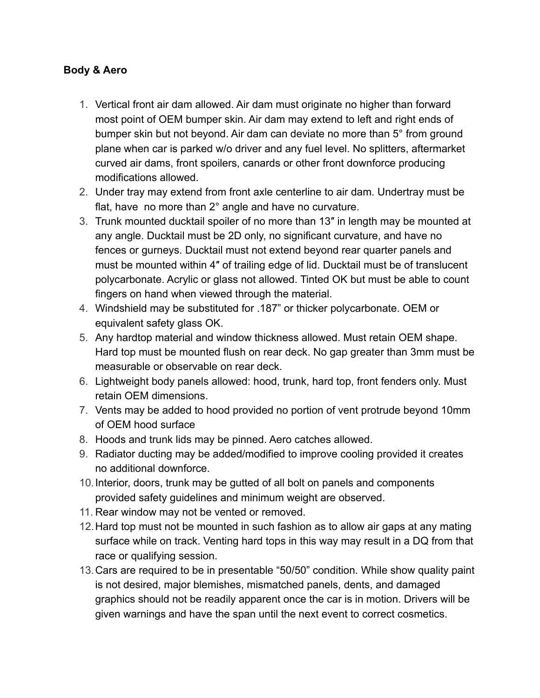## **Body & Aero**

- 1. Vertical front air dam allowed. Air dam must originate no higher than forward most point of OEM bumper skin. Air dam may extend to left and right ends of bumper skin but not beyond. Air dam can deviate no more than 5° from ground plane when car is parked w/o driver and any fuel level. No splitters, aftermarket curved air dams, front spoilers, canards or other front downforce producing modifications allowed.
- 2. Under tray may extend from front axle centerline to air dam. Undertray must be flat, have no more than 2° angle and have no curvature.
- 3. Trunk mounted ducktail spoiler of no more than 13″ in length may be mounted at any angle. Ducktail must be 2D only, no significant curvature, and have no fences or gurneys. Ducktail must not extend beyond rear quarter panels and must be mounted within 4″ of trailing edge of lid. Ducktail must be of translucent polycarbonate. Acrylic or glass not allowed. Tinted OK but must be able to count fingers on hand when viewed through the material.
- 4. Windshield may be substituted for .187" or thicker polycarbonate. OEM or equivalent safety glass OK.
- 5. Any hardtop material and window thickness allowed. Must retain OEM shape. Hard top must be mounted flush on rear deck. No gap greater than 3mm must be measurable or observable on rear deck.
- 6. Lightweight body panels allowed: hood, trunk, hard top, front fenders only. Must retain OEM dimensions.
- 7. Vents may be added to hood provided no portion of vent protrude beyond 10mm of OEM hood surface
- 8. Hoods and trunk lids may be pinned. Aero catches allowed.
- 9. Radiator ducting may be added/modified to improve cooling provided it creates no additional downforce.
- 10.Interior, doors, trunk may be gutted of all bolt on panels and components provided safety guidelines and minimum weight are observed.
- 11. Rear window may not be vented or removed.
- 12.Hard top must not be mounted in such fashion as to allow air gaps at any mating surface while on track. Venting hard tops in this way may result in a DQ from that race or qualifying session.
- 13.Cars are required to be in presentable "50/50" condition. While show quality paint is not desired, major blemishes, mismatched panels, dents, and damaged graphics should not be readily apparent once the car is in motion. Drivers will be given warnings and have the span until the next event to correct cosmetics.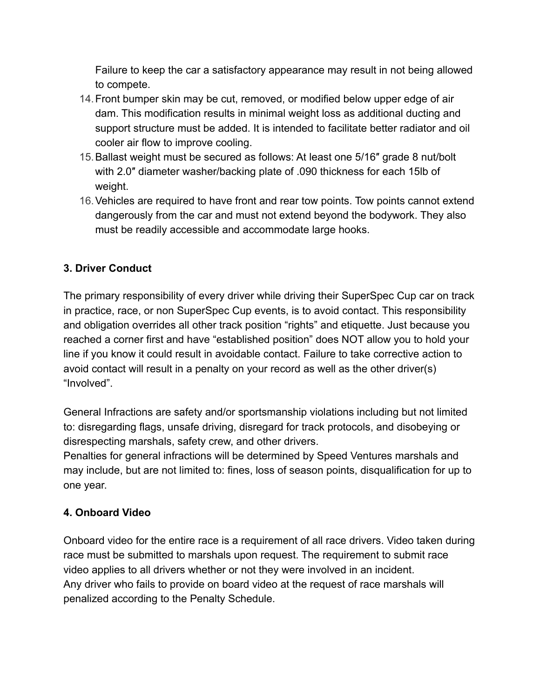Failure to keep the car a satisfactory appearance may result in not being allowed to compete.

- 14.Front bumper skin may be cut, removed, or modified below upper edge of air dam. This modification results in minimal weight loss as additional ducting and support structure must be added. It is intended to facilitate better radiator and oil cooler air flow to improve cooling.
- 15.Ballast weight must be secured as follows: At least one 5/16″ grade 8 nut/bolt with 2.0″ diameter washer/backing plate of .090 thickness for each 15lb of weight.
- 16.Vehicles are required to have front and rear tow points. Tow points cannot extend dangerously from the car and must not extend beyond the bodywork. They also must be readily accessible and accommodate large hooks.

# **3. Driver Conduct**

The primary responsibility of every driver while driving their SuperSpec Cup car on track in practice, race, or non SuperSpec Cup events, is to avoid contact. This responsibility and obligation overrides all other track position "rights" and etiquette. Just because you reached a corner first and have "established position" does NOT allow you to hold your line if you know it could result in avoidable contact. Failure to take corrective action to avoid contact will result in a penalty on your record as well as the other driver(s) "Involved".

General Infractions are safety and/or sportsmanship violations including but not limited to: disregarding flags, unsafe driving, disregard for track protocols, and disobeying or disrespecting marshals, safety crew, and other drivers.

Penalties for general infractions will be determined by Speed Ventures marshals and may include, but are not limited to: fines, loss of season points, disqualification for up to one year.

# **4. Onboard Video**

Onboard video for the entire race is a requirement of all race drivers. Video taken during race must be submitted to marshals upon request. The requirement to submit race video applies to all drivers whether or not they were involved in an incident. Any driver who fails to provide on board video at the request of race marshals will penalized according to the Penalty Schedule.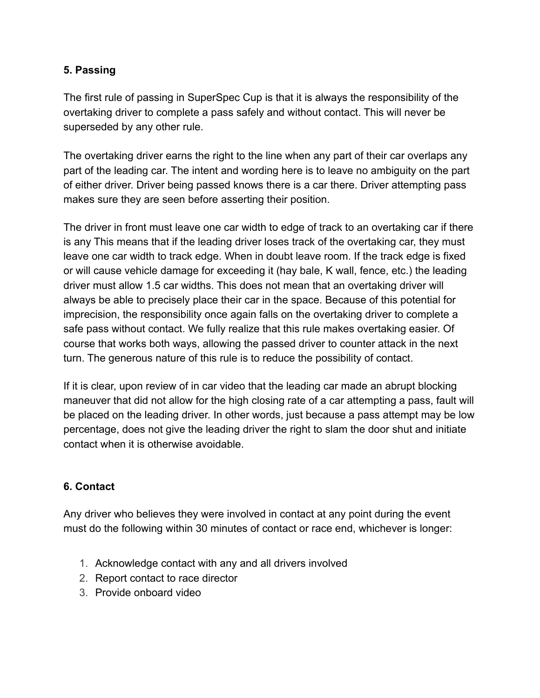# **5. Passing**

The first rule of passing in SuperSpec Cup is that it is always the responsibility of the overtaking driver to complete a pass safely and without contact. This will never be superseded by any other rule.

The overtaking driver earns the right to the line when any part of their car overlaps any part of the leading car. The intent and wording here is to leave no ambiguity on the part of either driver. Driver being passed knows there is a car there. Driver attempting pass makes sure they are seen before asserting their position.

The driver in front must leave one car width to edge of track to an overtaking car if there is any This means that if the leading driver loses track of the overtaking car, they must leave one car width to track edge. When in doubt leave room. If the track edge is fixed or will cause vehicle damage for exceeding it (hay bale, K wall, fence, etc.) the leading driver must allow 1.5 car widths. This does not mean that an overtaking driver will always be able to precisely place their car in the space. Because of this potential for imprecision, the responsibility once again falls on the overtaking driver to complete a safe pass without contact. We fully realize that this rule makes overtaking easier. Of course that works both ways, allowing the passed driver to counter attack in the next turn. The generous nature of this rule is to reduce the possibility of contact.

If it is clear, upon review of in car video that the leading car made an abrupt blocking maneuver that did not allow for the high closing rate of a car attempting a pass, fault will be placed on the leading driver. In other words, just because a pass attempt may be low percentage, does not give the leading driver the right to slam the door shut and initiate contact when it is otherwise avoidable.

# **6. Contact**

Any driver who believes they were involved in contact at any point during the event must do the following within 30 minutes of contact or race end, whichever is longer:

- 1. Acknowledge contact with any and all drivers involved
- 2. Report contact to race director
- 3. Provide onboard video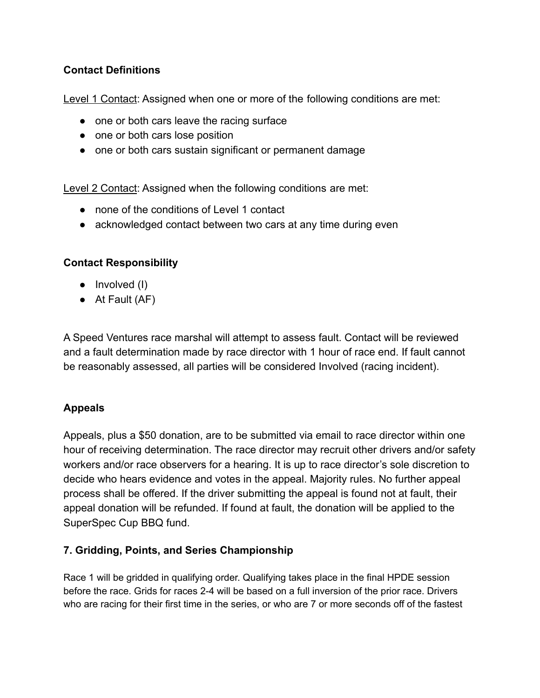# **Contact Definitions**

Level 1 Contact: Assigned when one or more of the following conditions are met:

- one or both cars leave the racing surface
- one or both cars lose position
- one or both cars sustain significant or permanent damage

Level 2 Contact: Assigned when the following conditions are met:

- none of the conditions of Level 1 contact
- acknowledged contact between two cars at any time during even

## **Contact Responsibility**

- Involved (I)
- $\bullet$  At Fault (AF)

A Speed Ventures race marshal will attempt to assess fault. Contact will be reviewed and a fault determination made by race director with 1 hour of race end. If fault cannot be reasonably assessed, all parties will be considered Involved (racing incident).

## **Appeals**

Appeals, plus a \$50 donation, are to be submitted via email to race director within one hour of receiving determination. The race director may recruit other drivers and/or safety workers and/or race observers for a hearing. It is up to race director's sole discretion to decide who hears evidence and votes in the appeal. Majority rules. No further appeal process shall be offered. If the driver submitting the appeal is found not at fault, their appeal donation will be refunded. If found at fault, the donation will be applied to the SuperSpec Cup BBQ fund.

## **7. Gridding, Points, and Series Championship**

Race 1 will be gridded in qualifying order. Qualifying takes place in the final HPDE session before the race. Grids for races 2-4 will be based on a full inversion of the prior race. Drivers who are racing for their first time in the series, or who are 7 or more seconds off of the fastest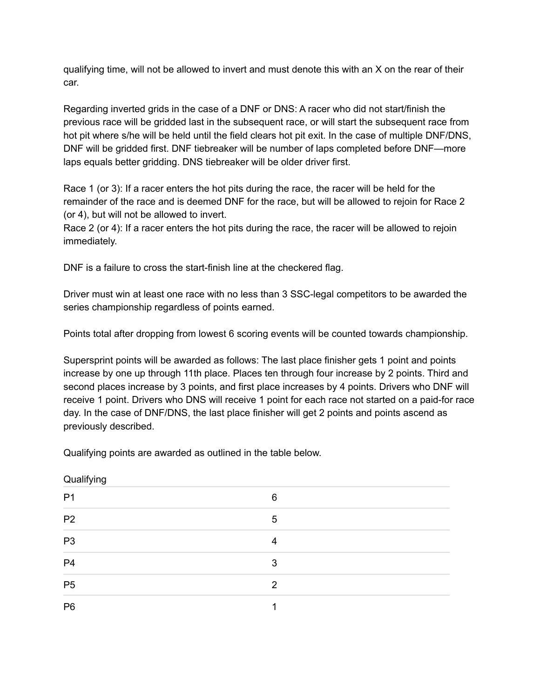qualifying time, will not be allowed to invert and must denote this with an X on the rear of their car.

Regarding inverted grids in the case of a DNF or DNS: A racer who did not start/finish the previous race will be gridded last in the subsequent race, or will start the subsequent race from hot pit where s/he will be held until the field clears hot pit exit. In the case of multiple DNF/DNS, DNF will be gridded first. DNF tiebreaker will be number of laps completed before DNF—more laps equals better gridding. DNS tiebreaker will be older driver first.

Race 1 (or 3): If a racer enters the hot pits during the race, the racer will be held for the remainder of the race and is deemed DNF for the race, but will be allowed to rejoin for Race 2 (or 4), but will not be allowed to invert.

Race 2 (or 4): If a racer enters the hot pits during the race, the racer will be allowed to rejoin immediately.

DNF is a failure to cross the start-finish line at the checkered flag.

Driver must win at least one race with no less than 3 SSC-legal competitors to be awarded the series championship regardless of points earned.

Points total after dropping from lowest 6 scoring events will be counted towards championship.

Supersprint points will be awarded as follows: The last place finisher gets 1 point and points increase by one up through 11th place. Places ten through four increase by 2 points. Third and second places increase by 3 points, and first place increases by 4 points. Drivers who DNF will receive 1 point. Drivers who DNS will receive 1 point for each race not started on a paid-for race day. In the case of DNF/DNS, the last place finisher will get 2 points and points ascend as previously described.

Qualifying points are awarded as outlined in the table below.

| Qualifying     |   |  |
|----------------|---|--|
| P <sub>1</sub> | 6 |  |
| P <sub>2</sub> | 5 |  |
| P <sub>3</sub> | 4 |  |
| P <sub>4</sub> | 3 |  |
| P <sub>5</sub> | 2 |  |
| P <sub>6</sub> | и |  |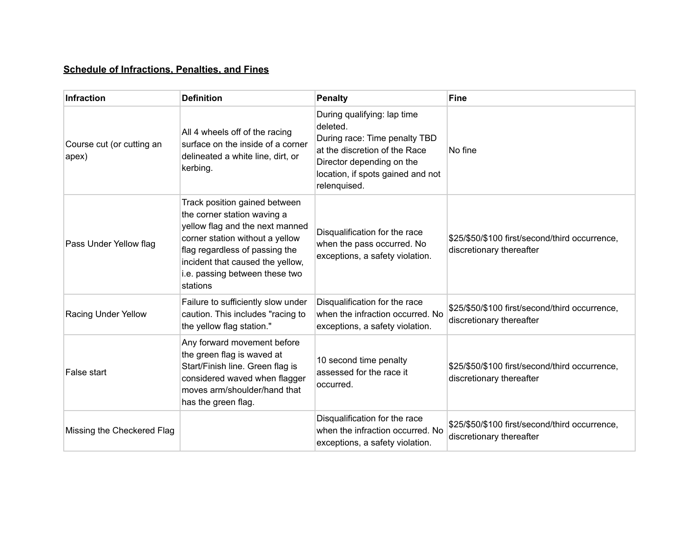## **Schedule of Infractions, Penalties, and Fines**

| <b>Infraction</b>                  | <b>Definition</b>                                                                                                                                                                                                                                      | <b>Penalty</b>                                                                                                                                                                              | <b>Fine</b>                                                                |
|------------------------------------|--------------------------------------------------------------------------------------------------------------------------------------------------------------------------------------------------------------------------------------------------------|---------------------------------------------------------------------------------------------------------------------------------------------------------------------------------------------|----------------------------------------------------------------------------|
| Course cut (or cutting an<br>apex) | All 4 wheels off of the racing<br>surface on the inside of a corner<br>delineated a white line, dirt, or<br>kerbing.                                                                                                                                   | During qualifying: lap time<br>deleted.<br>During race: Time penalty TBD<br>at the discretion of the Race<br>Director depending on the<br>location, if spots gained and not<br>relenquised. | No fine                                                                    |
| Pass Under Yellow flag             | Track position gained between<br>the corner station waving a<br>yellow flag and the next manned<br>corner station without a yellow<br>flag regardless of passing the<br>incident that caused the yellow,<br>i.e. passing between these two<br>stations | Disqualification for the race<br>when the pass occurred. No<br>exceptions, a safety violation.                                                                                              | \$25/\$50/\$100 first/second/third occurrence,<br>discretionary thereafter |
| Racing Under Yellow                | Failure to sufficiently slow under<br>caution. This includes "racing to<br>the yellow flag station."                                                                                                                                                   | Disqualification for the race<br>when the infraction occurred. No<br>exceptions, a safety violation.                                                                                        | \$25/\$50/\$100 first/second/third occurrence,<br>discretionary thereafter |
| False start                        | Any forward movement before<br>the green flag is waved at<br>Start/Finish line. Green flag is<br>considered waved when flagger<br>moves arm/shoulder/hand that<br>has the green flag.                                                                  | 10 second time penalty<br>assessed for the race it<br>occurred.                                                                                                                             | \$25/\$50/\$100 first/second/third occurrence,<br>discretionary thereafter |
| Missing the Checkered Flag         |                                                                                                                                                                                                                                                        | Disqualification for the race<br>when the infraction occurred. No<br>exceptions, a safety violation.                                                                                        | \$25/\$50/\$100 first/second/third occurrence,<br>discretionary thereafter |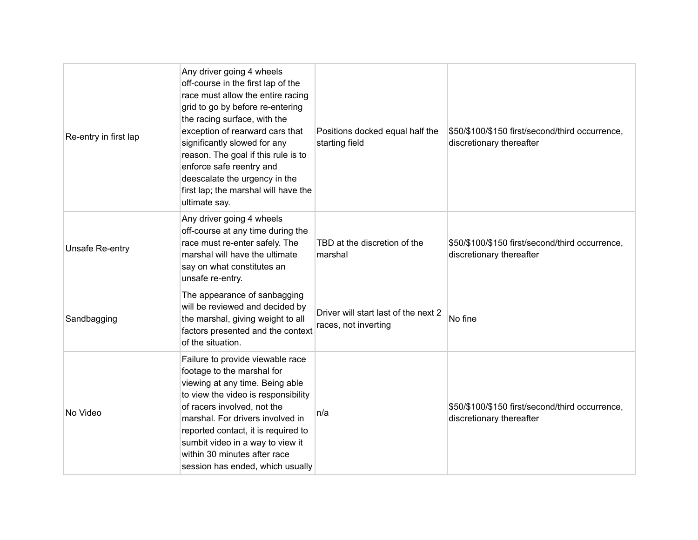| Re-entry in first lap | Any driver going 4 wheels<br>off-course in the first lap of the<br>race must allow the entire racing<br>grid to go by before re-entering<br>the racing surface, with the<br>exception of rearward cars that<br>significantly slowed for any<br>reason. The goal if this rule is to<br>enforce safe reentry and<br>deescalate the urgency in the<br>first lap; the marshal will have the<br>ultimate say. | Positions docked equal half the<br>starting field            | \$50/\$100/\$150 first/second/third occurrence,<br>discretionary thereafter |
|-----------------------|----------------------------------------------------------------------------------------------------------------------------------------------------------------------------------------------------------------------------------------------------------------------------------------------------------------------------------------------------------------------------------------------------------|--------------------------------------------------------------|-----------------------------------------------------------------------------|
| Unsafe Re-entry       | Any driver going 4 wheels<br>off-course at any time during the<br>race must re-enter safely. The<br>marshal will have the ultimate<br>say on what constitutes an<br>unsafe re-entry.                                                                                                                                                                                                                     | TBD at the discretion of the<br>marshal                      | \$50/\$100/\$150 first/second/third occurrence,<br>discretionary thereafter |
| Sandbagging           | The appearance of sanbagging<br>will be reviewed and decided by<br>the marshal, giving weight to all<br>factors presented and the context<br>of the situation.                                                                                                                                                                                                                                           | Driver will start last of the next 2<br>races, not inverting | No fine                                                                     |
| No Video              | Failure to provide viewable race<br>footage to the marshal for<br>viewing at any time. Being able<br>to view the video is responsibility<br>of racers involved, not the<br>marshal. For drivers involved in<br>reported contact, it is required to<br>sumbit video in a way to view it<br>within 30 minutes after race<br>session has ended, which usually                                               | n/a                                                          | \$50/\$100/\$150 first/second/third occurrence,<br>discretionary thereafter |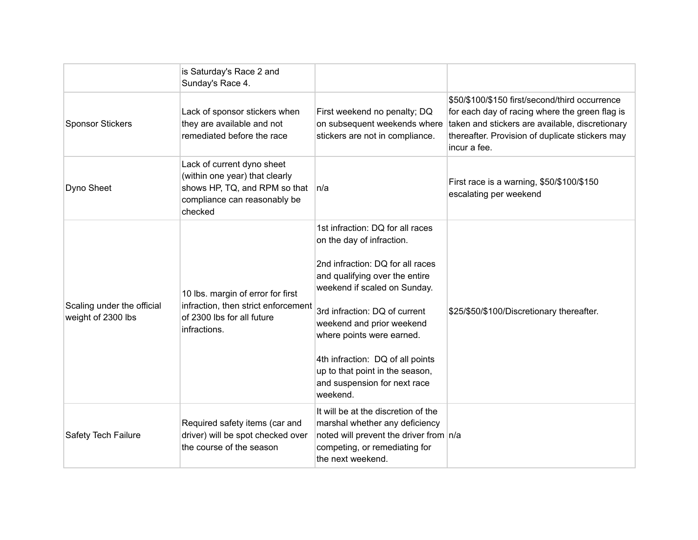|                                                  | is Saturday's Race 2 and<br>Sunday's Race 4.                                                                                             |                                                                                                                                                                                                                                                                                                                                                                                   |                                                                                                                                                                                                                        |
|--------------------------------------------------|------------------------------------------------------------------------------------------------------------------------------------------|-----------------------------------------------------------------------------------------------------------------------------------------------------------------------------------------------------------------------------------------------------------------------------------------------------------------------------------------------------------------------------------|------------------------------------------------------------------------------------------------------------------------------------------------------------------------------------------------------------------------|
| <b>Sponsor Stickers</b>                          | Lack of sponsor stickers when<br>they are available and not<br>remediated before the race                                                | First weekend no penalty; DQ<br>on subsequent weekends where<br>stickers are not in compliance.                                                                                                                                                                                                                                                                                   | \$50/\$100/\$150 first/second/third occurrence<br>for each day of racing where the green flag is<br>taken and stickers are available, discretionary<br>thereafter. Provision of duplicate stickers may<br>incur a fee. |
| Dyno Sheet                                       | Lack of current dyno sheet<br>(within one year) that clearly<br>shows HP, TQ, and RPM so that<br>compliance can reasonably be<br>checked | n/a                                                                                                                                                                                                                                                                                                                                                                               | First race is a warning, \$50/\$100/\$150<br>escalating per weekend                                                                                                                                                    |
| Scaling under the official<br>weight of 2300 lbs | 10 lbs. margin of error for first<br>infraction, then strict enforcement<br>of 2300 lbs for all future<br>infractions.                   | 1st infraction: DQ for all races<br>on the day of infraction.<br>2nd infraction: DQ for all races<br>and qualifying over the entire<br>weekend if scaled on Sunday.<br>3rd infraction: DQ of current<br>weekend and prior weekend<br>where points were earned.<br>4th infraction: DQ of all points<br>up to that point in the season,<br>and suspension for next race<br>weekend. | \$25/\$50/\$100/Discretionary thereafter.                                                                                                                                                                              |
| Safety Tech Failure                              | Required safety items (car and<br>driver) will be spot checked over<br>the course of the season                                          | It will be at the discretion of the<br>marshal whether any deficiency<br>noted will prevent the driver from n/a<br>competing, or remediating for<br>the next weekend.                                                                                                                                                                                                             |                                                                                                                                                                                                                        |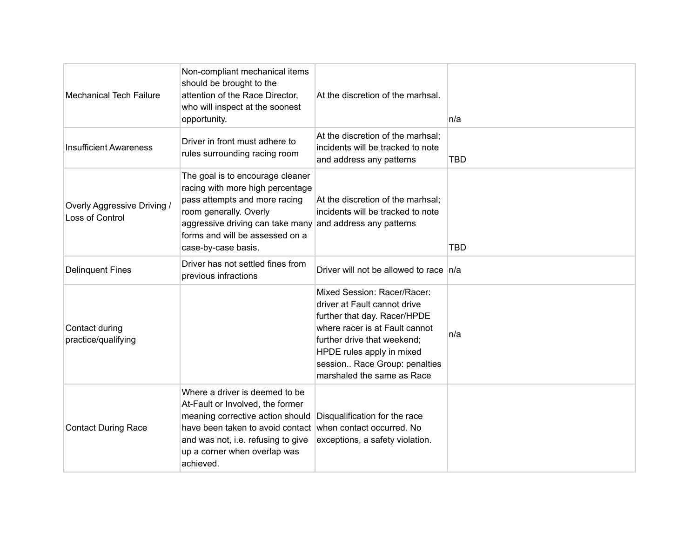| <b>Mechanical Tech Failure</b>                 | Non-compliant mechanical items<br>should be brought to the<br>attention of the Race Director,<br>who will inspect at the soonest<br>opportunity.                                                                                                        | At the discretion of the marhsal.                                                                                                                                                                                                                        | n/a        |
|------------------------------------------------|---------------------------------------------------------------------------------------------------------------------------------------------------------------------------------------------------------------------------------------------------------|----------------------------------------------------------------------------------------------------------------------------------------------------------------------------------------------------------------------------------------------------------|------------|
| <b>Insufficient Awareness</b>                  | Driver in front must adhere to<br>rules surrounding racing room                                                                                                                                                                                         | At the discretion of the marhsal;<br>incidents will be tracked to note<br>and address any patterns                                                                                                                                                       | <b>TBD</b> |
| Overly Aggressive Driving /<br>Loss of Control | The goal is to encourage cleaner<br>racing with more high percentage<br>pass attempts and more racing<br>room generally. Overly<br>aggressive driving can take many and address any patterns<br>forms and will be assessed on a<br>case-by-case basis.  | At the discretion of the marhsal;<br>incidents will be tracked to note                                                                                                                                                                                   | <b>TBD</b> |
| <b>Delinquent Fines</b>                        | Driver has not settled fines from<br>previous infractions                                                                                                                                                                                               | Driver will not be allowed to race $n/a$                                                                                                                                                                                                                 |            |
| Contact during<br>practice/qualifying          |                                                                                                                                                                                                                                                         | Mixed Session: Racer/Racer:<br>driver at Fault cannot drive<br>further that day. Racer/HPDE<br>where racer is at Fault cannot<br>further drive that weekend;<br>HPDE rules apply in mixed<br>session Race Group: penalties<br>marshaled the same as Race | n/a        |
| <b>Contact During Race</b>                     | Where a driver is deemed to be<br>At-Fault or Involved, the former<br>meaning corrective action should<br>have been taken to avoid contact when contact occurred. No<br>and was not, i.e. refusing to give<br>up a corner when overlap was<br>achieved. | Disqualification for the race<br>exceptions, a safety violation.                                                                                                                                                                                         |            |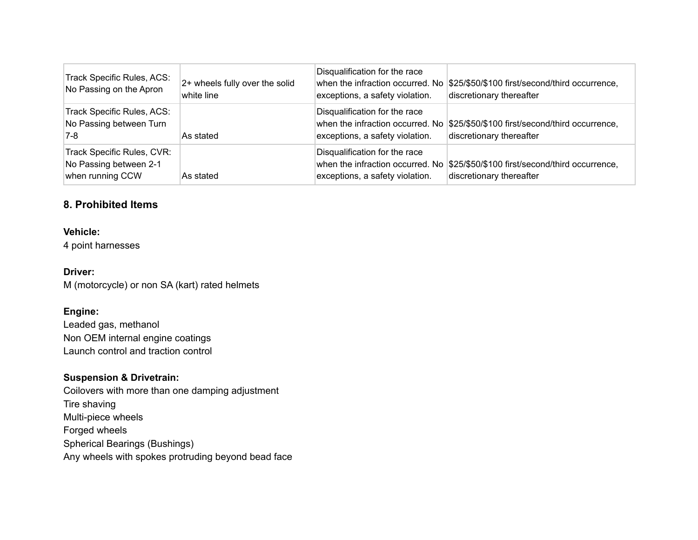| Track Specific Rules, ACS:<br>No Passing on the Apron                    | 2+ wheels fully over the solid<br>white line | Disqualification for the race<br>when the infraction occurred. No<br>exceptions, a safety violation. | \$25/\$50/\$100 first/second/third occurrence,<br>discretionary thereafter |
|--------------------------------------------------------------------------|----------------------------------------------|------------------------------------------------------------------------------------------------------|----------------------------------------------------------------------------|
| Track Specific Rules, ACS:<br>No Passing between Turn<br>7-8             | As stated                                    | Disqualification for the race<br>when the infraction occurred. No<br>exceptions, a safety violation. | \$25/\$50/\$100 first/second/third occurrence,<br>discretionary thereafter |
| Track Specific Rules, CVR:<br>No Passing between 2-1<br>when running CCW | As stated                                    | Disqualification for the race<br>when the infraction occurred. No<br>exceptions, a safety violation. | \$25/\$50/\$100 first/second/third occurrence,<br>discretionary thereafter |

# **8. Prohibited Items**

#### **Vehicle:**

4 point harnesses

#### **Driver:**

M (motorcycle) or non SA (kart) rated helmets

## **Engine:**

Leaded gas, methanol Non OEM internal engine coatings Launch control and traction control

#### **Suspension & Drivetrain:**

Coilovers with more than one damping adjustment Tire shaving Multi-piece wheels Forged wheels Spherical Bearings (Bushings) Any wheels with spokes protruding beyond bead face